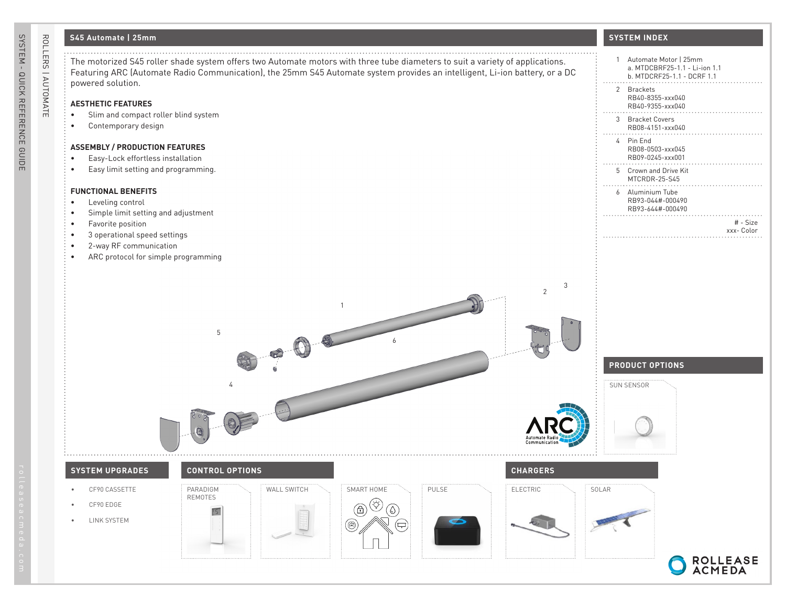## **S45 Automate | 25mm**

| ROLLERS   AUTOMATE | S45 Automate   25mm                                                                                                                                                                                                                                                               | <b>SYSTEM INDEX</b>                                                                    |
|--------------------|-----------------------------------------------------------------------------------------------------------------------------------------------------------------------------------------------------------------------------------------------------------------------------------|----------------------------------------------------------------------------------------|
|                    | The motorized S45 roller shade system offers two Automate motors with three tube diameters to suit a variety of applications.<br>Featuring ARC (Automate Radio Communication), the 25mm S45 Automate system provides an intelligent, Li-ion battery, or a DC<br>powered solution. | 1 Automate Motor   25mm<br>a. MTDCBRF25-1.1 - Li-ion 1.1<br>b. MTDCRF25-1.1 - DCRF 1.1 |
|                    | <b>AESTHETIC FEATURES</b>                                                                                                                                                                                                                                                         | 2 Brackets<br>RB40-8355-xxx040                                                         |
|                    | Slim and compact roller blind system<br>Contemporary design<br>$\bullet$                                                                                                                                                                                                          | RB40-9355-xxx040<br>3 Bracket Covers<br>RB08-4151-xxx040                               |
|                    | <b>ASSEMBLY / PRODUCTION FEATURES</b>                                                                                                                                                                                                                                             | 4 Pin End<br>RB08-0503-xxx045                                                          |
|                    | Easy-Lock effortless installation<br>$\bullet$<br>Easy limit setting and programming.<br>$\bullet$                                                                                                                                                                                | RB09-0245-xxx001<br>5 Crown and Drive Kit                                              |
|                    | <b>FUNCTIONAL BENEFITS</b>                                                                                                                                                                                                                                                        | MTCRDR-25-S45<br>6 Aluminium Tube<br>RB93-044#-000490                                  |
|                    | Leveling control<br>$\bullet$<br>Simple limit setting and adjustment<br>Favorite position<br>$\bullet$                                                                                                                                                                            | RB93-644#-000490<br># - Size                                                           |
|                    | 3 operational speed settings<br>2-way RF communication<br>$\bullet$                                                                                                                                                                                                               | xxx- Color                                                                             |
|                    | ARC protocol for simple programming                                                                                                                                                                                                                                               |                                                                                        |
|                    | 3<br>$\mathbf{1}$<br>5                                                                                                                                                                                                                                                            |                                                                                        |
|                    |                                                                                                                                                                                                                                                                                   | <b>PRODUCT OPTIONS</b>                                                                 |
|                    |                                                                                                                                                                                                                                                                                   | SUN SENSOR                                                                             |
|                    |                                                                                                                                                                                                                                                                                   |                                                                                        |
|                    | <b>CONTROL OPTIONS</b><br><b>SYSTEM UPGRADES</b><br><b>CHARGERS</b>                                                                                                                                                                                                               |                                                                                        |
|                    | WALL SWITCH<br>SMART HOME<br>PULSE<br>ELECTRIC<br>CF90 CASSETTE<br>PARADIGM<br>٠<br>REMOTES<br>CF90 EDGE<br>$\bullet$                                                                                                                                                             | SOLAR                                                                                  |
|                    | `A<br>LINK SYSTEM<br>$\bullet$<br>B<br>무                                                                                                                                                                                                                                          |                                                                                        |
|                    |                                                                                                                                                                                                                                                                                   |                                                                                        |
|                    |                                                                                                                                                                                                                                                                                   | ROLLEASE<br>ACMEDA                                                                     |